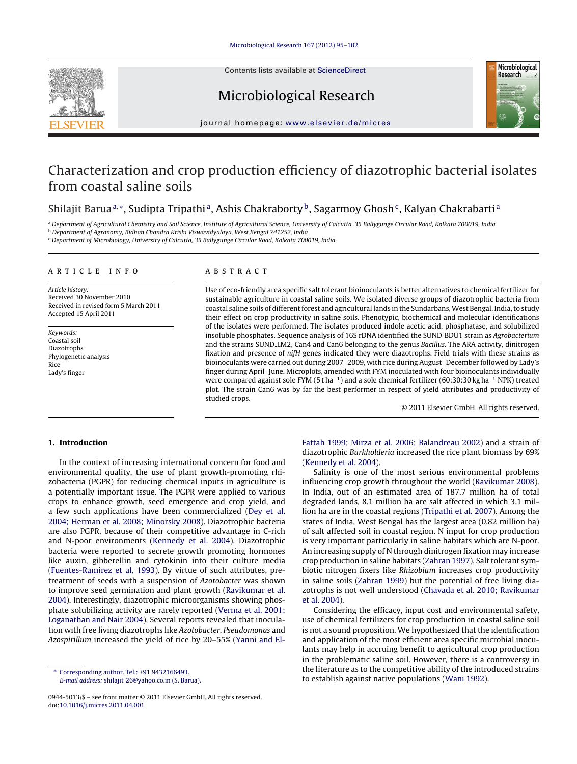

Contents lists available at [ScienceDirect](http://www.sciencedirect.com/science/journal/09445013)

# Microbiological Research



journal homepage: [www.elsevier.de/micres](http://www.elsevier.de/micres)

## Characterization and crop production efficiency of diazotrophic bacterial isolates from coastal saline soils

## Shilajit Baruaª,\*, Sudipta Tripathiª, Ashis Chakraborty<sup>b</sup>, Sagarmoy Ghosh<sup>c</sup>, Kalyan Chakrabartiª

a Department of Agricultural Chemistry and Soil Science, Institute of Agricultural Science, University of Calcutta, 35 Ballygunge Circular Road, Kolkata 700019, India <sup>b</sup> Department of Agronomy, Bidhan Chandra Krishi Viswavidyalaya, West Bengal 741252, India

<sup>c</sup> Department of Microbiology, University of Calcutta, 35 Ballygunge Circular Road, Kolkata 700019, India

#### a r t i c l e i n f o

Article history: Received 30 November 2010 Received in revised form 5 March 2011 Accepted 15 April 2011

Keywords: Coastal soil Diazotrophs Phylogenetic analysis Rice Lady's finger

#### A B S T R A C T

Use of eco-friendly area specific salt tolerant bioinoculants is better alternatives to chemical fertilizer for sustainable agriculture in coastal saline soils. We isolated diverse groups of diazotrophic bacteria from coastal saline soils of different forest and agricultural lands in the Sundarbans, West Bengal, India, to study their effect on crop productivity in saline soils. Phenotypic, biochemical and molecular identifications of the isolates were performed. The isolates produced indole acetic acid, phosphatase, and solubilized insoluble phosphates. Sequence analysis of 16S rDNA identified the SUND BDU1 strain as Agrobacterium and the strains SUND LM2, Can4 and Can6 belonging to the genus Bacillus. The ARA activity, dinitrogen fixation and presence of nifH genes indicated they were diazotrophs. Field trials with these strains as bioinoculants were carried out during 2007–2009, with rice during August–December followed by Lady's finger during April–June. Microplots, amended with FYM inoculated with four bioinoculants individually were compared against sole FYM (5 t ha<sup>-1</sup>) and a sole chemical fertilizer (60:30:30 kg ha<sup>-1</sup> NPK) treated plot. The strain Can6 was by far the best performer in respect of yield attributes and productivity of studied crops.

© 2011 Elsevier GmbH. All rights reserved.

## 1. Introduction

In the context of increasing international concern for food and environmental quality, the use of plant growth-promoting rhizobacteria (PGPR) for reducing chemical inputs in agriculture is a potentially important issue. The PGPR were applied to various crops to enhance growth, seed emergence and crop yield, and a few such applications have been commercialized ([Dey](#page-7-0) et [al.](#page-7-0) [2004;](#page-7-0) [Herman](#page-7-0) et [al.](#page-7-0) [2008;](#page-7-0) [Minorsky](#page-7-0) [2008\).](#page-7-0) Diazotrophic bacteria are also PGPR, because of their competitive advantage in C-rich and N-poor environments ([Kennedy](#page-7-0) et [al.](#page-7-0) [2004\).](#page-7-0) Diazotrophic bacteria were reported to secrete growth promoting hormones like auxin, gibberellin and cytokinin into their culture media ([Fuentes-Ramirez](#page-7-0) et [al.](#page-7-0) [1993\).](#page-7-0) By virtue of such attributes, pretreatment of seeds with a suspension of Azotobacter was shown to improve seed germination and plant growth [\(Ravikumar](#page-7-0) et [al.](#page-7-0) [2004\).](#page-7-0) Interestingly, diazotrophic microorganisms showing phosphate solubilizing activity are rarely reported [\(Verma](#page-7-0) et [al.](#page-7-0) [2001;](#page-7-0) [Loganathan](#page-7-0) [and](#page-7-0) [Nair](#page-7-0) [2004\).](#page-7-0) Several reports revealed that inoculation with free living diazotrophs like Azotobacter, Pseudomonas and Azospirillum increased the yield of rice by 20–55% ([Yanni](#page-7-0) [and](#page-7-0) ElFattah [1999;](#page-7-0) [Mirza](#page-7-0) et [al.](#page-7-0) [2006;](#page-7-0) [Balandreau](#page-7-0) [2002\)](#page-7-0) and a strain of diazotrophic Burkholderia increased the rice plant biomass by 69% [\(Kennedy](#page-7-0) et [al.](#page-7-0) [2004\).](#page-7-0)

Salinity is one of the most serious environmental problems influencing crop growth throughout the world ([Ravikumar](#page-7-0) [2008\).](#page-7-0) In India, out of an estimated area of 187.7 million ha of total degraded lands, 8.1 million ha are salt affected in which 3.1 million ha are in the coastal regions ([Tripathi](#page-7-0) et [al.](#page-7-0) [2007\).](#page-7-0) Among the states of India, West Bengal has the largest area (0.82 million ha) of salt affected soil in coastal region. N input for crop production is very important particularly in saline habitats which are N-poor. An increasing supply of N through dinitrogen fixation may increase crop production in saline habitats ([Zahran](#page-7-0) [1997\).](#page-7-0) Salt tolerant symbiotic nitrogen fixers like Rhizobium increases crop productivity in saline soils [\(Zahran](#page-7-0) [1999\)](#page-7-0) but the potential of free living diazotrophs is not well understood [\(Chavada](#page-7-0) et [al.](#page-7-0) [2010;](#page-7-0) [Ravikumar](#page-7-0) et [al.](#page-7-0) [2004\).](#page-7-0)

Considering the efficacy, input cost and environmental safety, use of chemical fertilizers for crop production in coastal saline soil is not a sound proposition. We hypothesized that the identification [and](#page-7-0) application of the most efficient area specific microbial inoculants may help in accruing benefit to agricultural crop production in the problematic saline soil. However, there is a controversy in the literature as to the competitive ability of the introduced strains to establish against native populations ([Wani](#page-7-0) [1992\).](#page-7-0)

<sup>∗</sup> Corresponding author. Tel.: +91 9432166493. E-mail address: shilajit [26@yahoo.co.in](mailto:shilajit_26@yahoo.co.in) (S. Barua).

<sup>0944-5013/\$</sup> – see front matter © 2011 Elsevier GmbH. All rights reserved. doi:[10.1016/j.micres.2011.04.001](dx.doi.org/10.1016/j.micres.2011.04.001)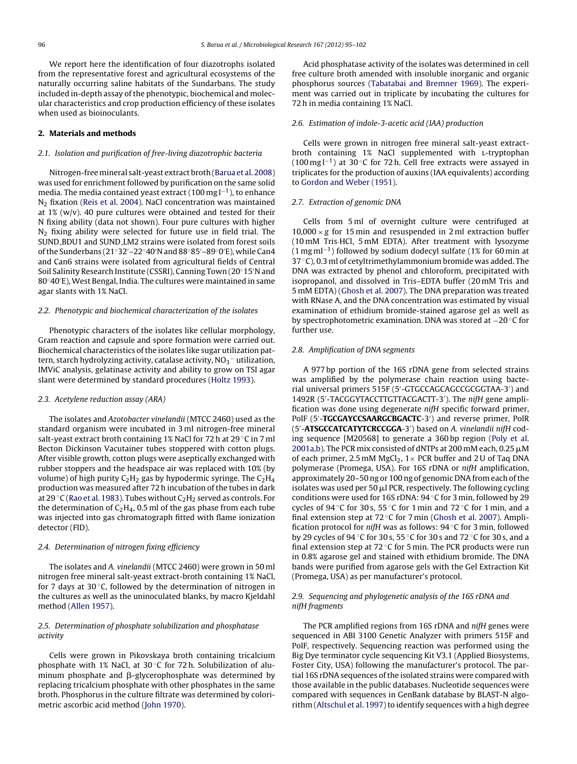We report here the identification of four diazotrophs isolated from the representative forest and agricultural ecosystems of the naturally occurring saline habitats of the Sundarbans. The study included in-depth assay of the phenotypic, biochemical and molecular characteristics and crop production efficiency of these isolates when used as bioinoculants.

#### 2. Materials and methods

#### 2.1. Isolation and purification of free-living diazotrophic bacteria

Nitrogen-freemineral salt-yeast extract broth[\(Barua](#page-7-0) et [al.](#page-7-0) [2008\)](#page-7-0) was used for enrichment followed by purification on the same solid media. The media contained yeast extract (100 mg  $l^{-1}$  ), to enhance N<sup>2</sup> fixation ([Reis](#page-7-0) et [al.](#page-7-0) [2004\).](#page-7-0) NaCl concentration was maintained at  $1\%$  (w/v). 40 pure cultures were obtained and tested for their N fixing ability (data not shown). Four pure cultures with higher  $N<sub>2</sub>$  fixing ability were selected for future use in field trial. The SUND BDU1 and SUND LM2 strains were isolated from forest soils ofthe Sunderbans (21◦32′–22◦40′N and 88◦85′–89◦0 ′E), while Can4 and Can6 strains were isolated from agricultural fields of Central Soil Salinity Research Institute (CSSRI), Canning Town (20◦15′N and 80◦40′E), West Bengal, India. The cultures were maintained in same agar slants with 1% NaCl.

#### 2.2. Phenotypic and biochemical characterization of the isolates

Phenotypic characters of the isolates like cellular morphology, Gram reaction and capsule and spore formation were carried out. Biochemical characteristics of the isolates like sugar utilization pattern, starch hydrolyzing activity, catalase activity,  $N O_3^-$  utilization, IMViC analysis, gelatinase activity and ability to grow on TSI agar slant were determined by standard procedures ([Holtz](#page-7-0) [1993\).](#page-7-0)

#### 2.3. Acetylene reduction assay (ARA)

The isolates and Azotobacter vinelandii (MTCC 2460) used as the standard organism were incubated in 3 ml nitrogen-free mineral salt-yeast extract broth containing 1% NaCl for 72 h at 29 ◦C in 7 ml Becton Dickinson Vacutainer tubes stoppered with cotton plugs. After visible growth, cotton plugs were aseptically exchanged with rubber stoppers and the headspace air was replaced with 10% (by volume) of high purity  $C_2H_2$  gas by hypodermic syringe. The  $C_2H_4$ production was measured after 72 h incubation of the tubes in dark at 29  $\mathrm{C}$  [\(Rao](#page-7-0) et [al.](#page-7-0) [1983\).](#page-7-0) Tubes without  $C_2H_2$  served as controls. For the determination of  $C_2H_4$ , 0.5 ml of the gas phase from each tube was injected into gas chromatograph fitted with flame ionization detector (FID).

#### 2.4. Determination of nitrogen fixing efficiency

The isolates and A. vinelandii (MTCC 2460) were grown in 50 ml nitrogen free mineral salt-yeast extract-broth containing 1% NaCl, for 7 days at 30 $\degree$ C, followed by the determination of nitrogen in the cultures as well as the uninoculated blanks, by macro Kjeldahl method ([Allen](#page-6-0) [1957\).](#page-6-0)

#### 2.5. Determination of phosphate solubilization and phosphatase activity

Cells were grown in Pikovskaya broth containing tricalcium phosphate with 1% NaCl, at 30 ◦C for 72 h. Solubilization of aluminum phosphate and  $\beta$ -glycerophosphate was determined by replacing tricalcium phosphate with other phosphates in the same broth. Phosphorus in the culture filtrate was determined by colorimetric ascorbic acid method [\(John](#page-7-0) [1970\).](#page-7-0)

Acid phosphatase activity of the isolates was determined in cell free culture broth amended with insoluble inorganic and organic phosphorus sources [\(Tabatabai](#page-7-0) [and](#page-7-0) [Bremner](#page-7-0) [1969\).](#page-7-0) The experiment was carried out in triplicate by incubating the cultures for 72 h in media containing 1% NaCl.

## 2.6. Estimation of indole-3-acetic acid (IAA) production

Cells were grown in nitrogen free mineral salt-yeast extractbroth containing 1% NaCl supplemented with l-tryptophan (100 mg l<sup>-1</sup>) at 30 °C for 72 h. Cell free extracts were assayed in triplicates for the production of auxins (IAA equivalents) according to [Gordon](#page-7-0) [and](#page-7-0) [Weber](#page-7-0) [\(1951\).](#page-7-0)

#### 2.7. Extraction of genomic DNA

Cells from 5 ml of overnight culture were centrifuged at  $10,000 \times g$  for 15 min and resuspended in 2 ml extraction buffer (10 mM Tris·HCl, 5 mM EDTA). After treatment with lysozyme (1 mg ml−<sup>1</sup> ) followed by sodium dodecyl sulfate (1% for 60 min at 37 ◦C), 0.3 ml of cetyltrimethylammonium bromide was added. The DNA was extracted by phenol and chloroform, precipitated with isopropanol, and dissolved in Tris–EDTA buffer (20 mM Tris and 5 mM EDTA) ([Ghosh](#page-7-0) et [al.](#page-7-0) [2007\).](#page-7-0) The DNA preparation was treated with RNase A, and the DNA concentration was estimated by visual examination of ethidium bromide-stained agarose gel as well as by spectrophotometric examination. DNA was stored at −20 ◦C for further use.

#### 2.8. Amplification of DNA segments

A 977 bp portion of the 16S rDNA gene from selected strains was amplified by the polymerase chain reaction using bacterial universal primers 515F (5′ -GTGCCAGCAGCCGCGGTAA-3′ ) and 1492R (5'-TACGGYTACCTTGTTACGACTT-3'). The nifH gene amplification was done using degenerate nifH specific forward primer, PolF (5'-TGCGAYCCSAARGCBGACTC-3') and reverse primer, PolR (5'-ATSGCCATCATYTCRCCGGA-3') based on A. vinelandii nifH coding sequence [M20568] to generate a 360 bp region [\(Poly](#page-7-0) et [al.](#page-7-0) [2001a,b\).](#page-7-0) The PCR mix consisted of dNTPs at 200 mM each, 0.25  $\mu$ M of each primer, 2.5 mM MgCl<sub>2</sub>,  $1 \times$  PCR buffer and 2 U of Taq DNA polymerase (Promega, USA). For 16S rDNA or nifH amplification, approximately 20–50 ng or 100 ng of genomic DNA from each ofthe isolates was used per 50  $\mu$ l PCR, respectively. The following cycling conditions were used for 16S rDNA: 94 ◦C for 3 min, followed by 29 cycles of 94 °C for 30 s, 55 °C for 1 min and 72 °C for 1 min, and a final extension step at  $72^{\circ}$ C for 7 min ([Ghosh](#page-7-0) et [al.](#page-7-0) [2007\).](#page-7-0) Amplification protocol for nifH was as follows:  $94^{\circ}$ C for 3 min, followed by 29 cycles of 94 ◦C for 30 s, 55 ◦C for 30 s and 72 ◦C for 30 s, and a final extension step at  $72^{\circ}$ C for 5 min. The PCR products were run in 0.8% agarose gel and stained with ethidium bromide. The DNA bands were purified from agarose gels with the Gel Extraction Kit (Promega, USA) as per manufacturer's protocol.

#### 2.9. Sequencing and phylogenetic analysis of the 16S rDNA and nifH fragments

The PCR amplified regions from 16S rDNA and nifH genes were sequenced in ABI 3100 Genetic Analyzer with primers 515F and PolF, respectively. Sequencing reaction was performed using the Big Dye terminator cycle sequencing Kit V3.1 (Applied Biosystems, Foster City, USA) following the manufacturer's protocol. The partial 16S rDNA sequences of the isolated strains were compared with those available in the public databases. Nucleotide sequences were compared with sequences in GenBank database by BLAST-N algo-rithm ([Altschul](#page-6-0) et [al.](#page-6-0) 1997) to identify sequences with a high degree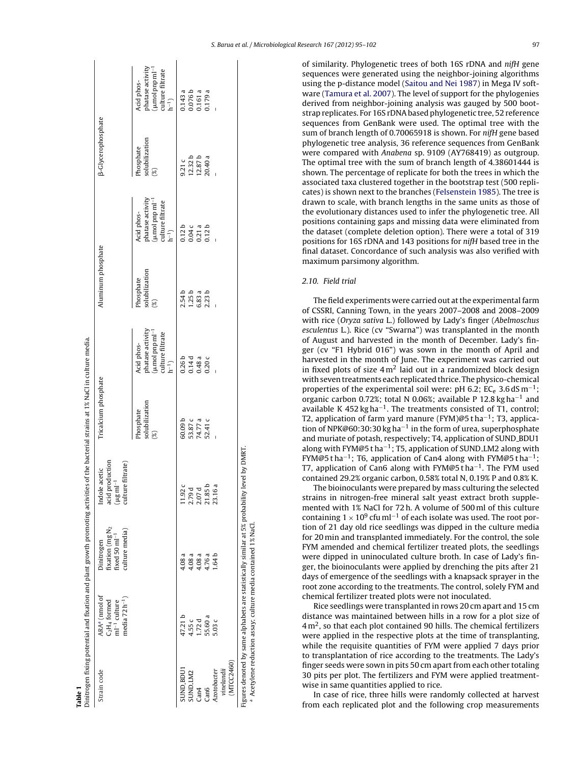<span id="page-2-0"></span>

| Table <sup>®</sup>                      |                                                                                   | Dinitrogen fixing potential and fixation and plant growth promoting activities of the bacterial strains at 1% NaCl in culture media. |                                                                                 |                                              |                                                                                                                                                                                                                                                                                                                     |                                                        |                                                                                              |                                   |                                                                                                                                                                   |
|-----------------------------------------|-----------------------------------------------------------------------------------|--------------------------------------------------------------------------------------------------------------------------------------|---------------------------------------------------------------------------------|----------------------------------------------|---------------------------------------------------------------------------------------------------------------------------------------------------------------------------------------------------------------------------------------------------------------------------------------------------------------------|--------------------------------------------------------|----------------------------------------------------------------------------------------------|-----------------------------------|-------------------------------------------------------------------------------------------------------------------------------------------------------------------|
| Strain code                             | ARAª (nmol of<br>media $72 h^{-1}$ )<br>$C2H4 formed$<br>ml <sup>-1</sup> culture | fixation (mg N <sub>2</sub><br>culture media)<br>fixed $50 \text{ ml}^{-1}$<br>Dinitrogen                                            | acid production<br>(µgml <sup>-1</sup><br>filtrate)<br>Indole acetic<br>culture | Tricalcium phosphate                         |                                                                                                                                                                                                                                                                                                                     | Aluminum phosphate                                     |                                                                                              | <b>B-Glycerophosphate</b>         |                                                                                                                                                                   |
|                                         |                                                                                   |                                                                                                                                      |                                                                                 | solubilization<br>Phosphate<br>$\frac{8}{2}$ | $\begin{array}{l} {\bf ph} {\bf at} {\bf a} {\bf s} {\bf e} \; {\bf activity}\\ ({\bf \mu} {\bf m} {\bf o} {\bf l} \, {\bf p} {\bf n} {\bf p} \, {\bf m} {\bf l}^{-1}\\ {\bf cut} {\bf t} {\bf u} {\bf r} {\bf e} \; {\bf f} {\bf l} {\bf t} {\bf r} {\bf a} {\bf t} {\bf e} \end{array}$<br>Acid phos-<br>$h^{-1}$ | solubilization<br>Phosphate<br>$\widehat{\mathscr{C}}$ | phatase activity<br>(µmol pnp ml <sup>-1</sup><br>culture filtrate<br>Acid phos-<br>$h^{-1}$ | solubilization<br>Phosphate<br>S. | $\begin{array}{l} \text{phatase activity} \\ (\mu \text{mol ppm}\, \text{m} \text{l}^{-1} \\ \text{culture filtrate} \\ \text{h}^{-1}) \end{array}$<br>Acid phos- |
| SUND_BDU1                               | 47.21 b                                                                           | 4.08 a                                                                                                                               | 1.92c                                                                           |                                              |                                                                                                                                                                                                                                                                                                                     | 2.54b                                                  | 0.12 <sub>b</sub>                                                                            | 9.21c                             |                                                                                                                                                                   |
| SUND <sub>-LM2</sub><br>Can4            | 4.55 c<br>1.72d                                                                   | 4.08 a<br>4.08 a                                                                                                                     | 2.79 d<br>2.07 d                                                                | 60.09 b<br>53.87 c<br>74.77 a<br>52.41 c     | 0.26 b<br>0.14 d<br>0.48 a<br>0.20 c                                                                                                                                                                                                                                                                                | $1.25 b$<br>$6.83 a$<br>$2.23 b$                       | 0.04 c<br>0.21 a<br>0.12 b                                                                   | 12.32 b<br>12.87 b<br>20.40 a     | $\begin{array}{c} 0.143 \ a \\ 0.076 \ b \\ 0.161 \ a \\ 0.179 \ a \end{array}$                                                                                   |
| Can6                                    | 55.60 a                                                                           | 4.76 a                                                                                                                               | 21.85b                                                                          |                                              |                                                                                                                                                                                                                                                                                                                     |                                                        |                                                                                              |                                   |                                                                                                                                                                   |
| (MTCC2460)<br>vinelandii<br>Azotobacter | 5.03 c                                                                            | 1.64 b                                                                                                                               | 23.16 a                                                                         |                                              |                                                                                                                                                                                                                                                                                                                     |                                                        |                                                                                              |                                   |                                                                                                                                                                   |
|                                         |                                                                                   | Figures denoted by same alphabets are statistically similar at 5% probability level by DMRT.                                         |                                                                                 |                                              |                                                                                                                                                                                                                                                                                                                     |                                                        |                                                                                              |                                   |                                                                                                                                                                   |

<sup>a</sup> Acetylene reduction assay; culture media contained 1% NaCl. Acetylene reduction assay; culture media contained 1% NaCl. of similarity. Phylogenetic trees of both 16S rDNA and nifH gene sequences were generated using the neighbor-joining algorithms using the p-distance model [\(Saitou](#page-7-0) [and](#page-7-0) [Nei](#page-7-0) [1987\)](#page-7-0) in Mega IV software [\(Tamura](#page-7-0) et [al.](#page-7-0) [2007\).](#page-7-0) The level of support for the phylogenies derived from neighbor-joining analysis was gauged by 500 bootstrap replicates. For 16S rDNAbased phylogenetic tree, 52 reference sequences from GenBank were used. The optimal tree with the sum of branch length of 0.70065918 is shown. For nifH gene based phylogenetic tree analysis, 36 reference sequences from GenBank were compared with Anabena sp. 9109 (AY768419) as outgroup. The optimal tree with the sum of branch length of 4.38601444 is shown. The percentage of replicate for both the trees in which the associated taxa clustered together in the bootstrap test (500 replicates) is shown next to the branches [\(Felsenstein](#page-7-0) [1985\).](#page-7-0) The tree is drawn to scale, with branch lengths in the same units as those of the evolutionary distances used to infer the phylogenetic tree. All positions containing gaps and missing data were eliminated from the dataset (complete deletion option). There were a total of 319 positions for 16S rDNA and 143 positions for nifH based tree in the final dataset. Concordance of such analysis was also verified with maximum parsimony algorithm.

#### 2.10. Field trial

The field experiments were carried out at the experimental farm of CSSRI, Canning Town, in the years 2007–2008 and 2008–2009 with rice (Oryza sativa L.) followed by Lady's finger (Abelmoschus esculentus L.). Rice (cv "Swarna") was transplanted in the month of August and harvested in the month of December. Lady's finger (cv "F1 Hybrid 016") was sown in the month of April and harvested in the month of June. The experiment was carried out in fixed plots of size  $4 \text{ m}^2$  laid out in a randomized block design with seven treatments each replicated thrice. The physico-chemical properties of the experimental soil were: pH 6.2;  $\text{EC}_e$  3.6 dS m<sup>-1</sup>; organic carbon 0.72%; total N 0.06%; available P 12.8 kg ha−<sup>1</sup> and available K 452 kg ha<sup>-1</sup>. The treatments consisted of T1, control; T2, application of farm yard manure (FYM)@5 t ha<sup>-1</sup>; T3, application of NPK@60:30:30 kg ha−<sup>1</sup> in the form of urea, superphosphate and muriate of potash, respectively; T4, application of SUND\_BDU1 along with FYM@5 t ha−<sup>1</sup> ; T5, application of SUND LM2 along with FYM@5tha<sup>-1</sup>; T6, application of Can4 along with FYM@5tha<sup>-1</sup>; T7, application of Can6 along with FYM@5 tha<sup>-1</sup>. The FYM used contained 29.2% organic carbon, 0.58% total N, 0.19% P and 0.8% K.

The bioinoculants were prepared by mass culturing the selected strains in nitrogen-free mineral salt yeast extract broth supplemented with 1% NaCl for 72 h. A volume of 500 ml of this culture containing  $1 \times 10^9$  cfu ml<sup>-1</sup> of each isolate was used. The root portion of 21 day old rice seedlings was dipped in the culture media for 20 min and transplanted immediately. For the control, the sole FYM amended and chemical fertilizer treated plots, the seedlings were dipped in uninoculated culture broth. In case of Lady's finger, the bioinoculants were applied by drenching the pits after 21 days of emergence of the seedlings with a knapsack sprayer in the root zone according to the treatments. The control, solely FYM and chemical fertilizer treated plots were not inoculated.

Rice seedlings were transplanted in rows 20 cm apart and 15 cm distance was maintained between hills in a row for a plot size of  $4 \text{ m}^2$ , so that each plot contained 90 hills. The chemical fertilizers were applied in the respective plots at the time of transplanting, while the requisite quantities of FYM were applied 7 days prior to transplantation of rice according to the treatments. The Lady's finger seeds were sown in pits 50 cm apart from each other totaling 30 pits per plot. The fertilizers and FYM were applied treatmentwise in same quantities applied to rice.

In case of rice, three hills were randomly collected at harvest from each replicated plot and the following crop measurements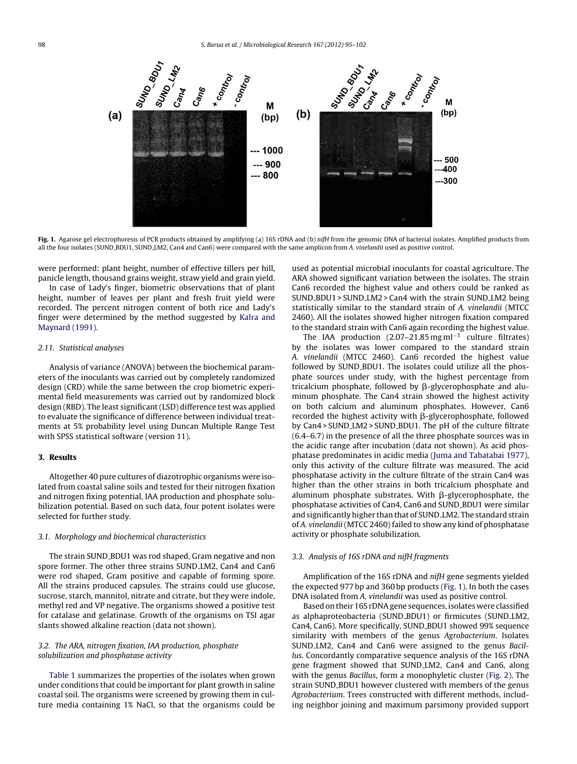

Fig. 1. Agarose gel electrophoresis of PCR products obtained by amplifying (a) 16S rDNA and (b) nifH from the genomic DNA of bacterial isolates. Amplified products from all the four isolates (SUND BDU1, SUND LM2, Can4 and Can6) were compared with the same amplicon from A. vinelandii used as positive control.

were performed: plant height, number of effective tillers per hill, panicle length, thousand grains weight, straw yield and grain yield.

In case of Lady's finger, biometric observations that of plant height, number of leaves per plant and fresh fruit yield were recorded. The percent nitrogen content of both rice and Lady's finger were determined by the method suggested by [Kalra](#page-7-0) [and](#page-7-0) [Maynard](#page-7-0) [\(1991\).](#page-7-0)

## 2.11. Statistical analyses

Analysis of variance (ANOVA) between the biochemical parameters of the inoculants was carried out by completely randomized design (CRD) while the same between the crop biometric experimental field measurements was carried out by randomized block design (RBD). The least significant (LSD) difference test was applied to evaluate the significance of difference between individual treatments at 5% probability level using Duncan Multiple Range Test with SPSS statistical software (version 11).

### 3. Results

Altogether 40 pure cultures of diazotrophic organisms were isolated from coastal saline soils and tested for their nitrogen fixation and nitrogen fixing potential, IAA production and phosphate solubilization potential. Based on such data, four potent isolates were selected for further study.

#### 3.1. Morphology and biochemical characteristics

The strain SUND BDU1 was rod shaped, Gram negative and non spore former. The other three strains SUND LM2, Can4 and Can6 were rod shaped, Gram positive and capable of forming spore. All the strains produced capsules. The strains could use glucose, sucrose, starch, mannitol, nitrate and citrate, but they were indole, methyl red and VP negative. The organisms showed a positive test for catalase and gelatinase. Growth of the organisms on TSI agar slants showed alkaline reaction (data not shown).

### 3.2. The ARA, nitrogen fixation, IAA production, phosphate solubilization and phosphatase activity

[Table](#page-2-0) 1 summarizes the properties of the isolates when grown under conditions that could be important for plant growth in saline coastal soil. The organisms were screened by growing them in culture media containing 1% NaCl, so that the organisms could be used as potential microbial inoculants for coastal agriculture. The ARA showed significant variation between the isolates. The strain Can6 recorded the highest value and others could be ranked as SUND BDU1 > SUND LM2 > Can4 with the strain SUND LM2 being statistically similar to the standard strain of A. vinelandii (MTCC 2460). All the isolates showed higher nitrogen fixation compared to the standard strain with Can6 again recording the highest value.

The IAA production (2.07–21.85 mg ml−<sup>1</sup> culture filtrates) by the isolates was lower compared to the standard strain A. vinelandii (MTCC 2460). Can6 recorded the highest value followed by SUND\_BDU1. The isolates could utilize all the phosphate sources under study, with the highest percentage from tricalcium phosphate, followed by  $\beta$ -glycerophosphate and aluminum phosphate. The Can4 strain showed the highest activity on both calcium and aluminum phosphates. However, Can6 recorded the highest activity with  $\beta$ -glycerophosphate, followed by Can4 > SUND LM2 > SUND BDU1. The pH of the culture filtrate (6.4–6.7) in the presence of all the three phosphate sources was in the acidic range after incubation (data not shown). As acid phosphatase predominates in acidic media [\(Juma](#page-7-0) [and](#page-7-0) [Tabatabai](#page-7-0) [1977\),](#page-7-0) only this activity of the culture filtrate was measured. The acid phosphatase activity in the culture filtrate of the strain Can4 was higher than the other strains in both tricalcium phosphate and  $\alpha$ luminum phosphate substrates. With  $\beta$ -glycerophosphate, the phosphatase activities of Can4, Can6 and SUND BDU1 were similar and significantly higher than that of SUND LM2. The standard strain of A. vinelandii (MTCC 2460) failed to show any kind of phosphatase activity or phosphate solubilization.

#### 3.3. Analysis of 16S rDNA and nifH fragments

Amplification of the 16S rDNA and nifH gene segments yielded the expected 977 bp and 360 bp products (Fig. 1). In both the cases DNA isolated from A. vinelandii was used as positive control.

Based on their 16S rDNAgene sequences, isolates were classified as alphaproteobacteria (SUND BDU1) or firmicutes (SUND LM2, Can4, Can6). More specifically, SUND BDU1 showed 99% sequence similarity with members of the genus Agrobacterium. Isolates SUND LM2, Can4 and Can6 were assigned to the genus Bacillus. Concordantly comparative sequence analysis of the 16S rDNA gene fragment showed that SUND LM2, Can4 and Can6, along with the genus Bacillus, form a monophyletic cluster ([Fig.](#page-4-0) 2). The strain SUND\_BDU1 however clustered with members of the genus Agrobacterium. Trees constructed with different methods, including neighbor joining and maximum parsimony provided support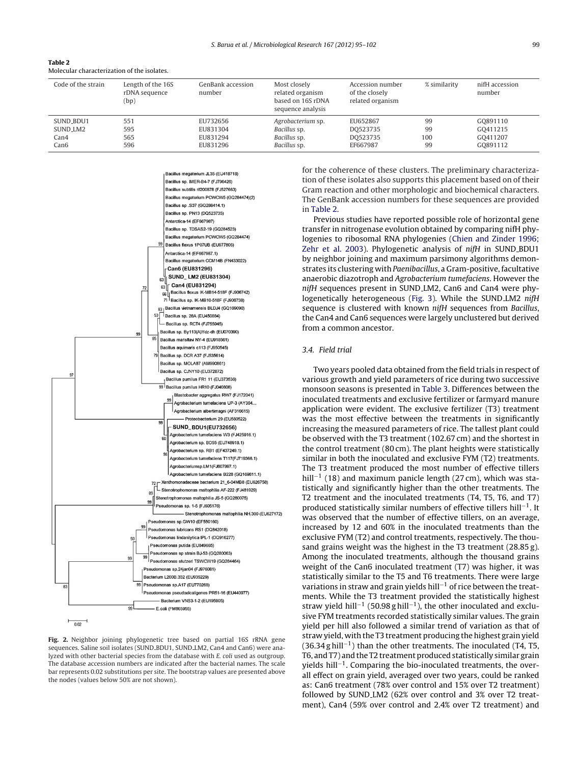<span id="page-4-0"></span>

| Table 2                                     |
|---------------------------------------------|
| Molecular characterization of the isolates. |

| Code of the strain   | Length of the 16S<br>rDNA sequence<br>(bp) | GenBank accession<br>number | Most closely<br>related organism<br>based on 16S rDNA<br>sequence analysis | Accession number<br>of the closely<br>related organism | % similarity | nifH accession<br>number |
|----------------------|--------------------------------------------|-----------------------------|----------------------------------------------------------------------------|--------------------------------------------------------|--------------|--------------------------|
| SUND_BDU1            | 551                                        | EU732656                    | Agrobacterium sp.                                                          | EU652867                                               | 99           | GO891110                 |
| SUND <sub>-LM2</sub> | 595                                        | EU831304                    | Bacillus sp.                                                               | DO523735                                               | 99           | GO411215                 |
| Can4                 | 565                                        | EU831294                    | Bacillus sp.                                                               | DO523735                                               | 100          | GO411207                 |
| Can6                 | 596                                        | EU831296                    | Bacillus sp.                                                               | EF667987                                               | 99           | G0891112                 |



Fig. 2. Neighbor joining phylogenetic tree based on partial 16S rRNA gene sequences. Saline soil isolates (SUND\_BDU1, SUND\_LM2, Can4 and Can6) were analyzed with other bacterial species from the database with E. coli used as outgroup. The database accession numbers are indicated after the bacterial names. The scale bar represents 0.02 substitutions per site. The bootstrap values are presented above the nodes (values below 50% are not shown).

for the coherence of these clusters. The preliminary characterization of these isolates also supports this placement based on of their Gram reaction and other morphologic and biochemical characters. The GenBank accession numbers for these sequences are provided in Table 2.

Previous studies have reported possible role of horizontal gene transfer in nitrogenase evolution obtained by comparing nifH phylogenies to ribosomal RNA phylogenies [\(Chien](#page-7-0) [and](#page-7-0) [Zinder](#page-7-0) [1996;](#page-7-0) [Zehr](#page-7-0) et [al.](#page-7-0) [2003\).](#page-7-0) Phylogenetic analysis of nifH in SUND BDU1 by neighbor joining and maximum parsimony algorithms demonstrates its clustering with Paenibacillus, a Gram-positive, facultative anaerobic diazotroph and Agrobacterium tumefaciens. However the nifH sequences present in SUND LM2, Can6 and Can4 were phy-logenetically heterogeneous [\(Fig.](#page-5-0) 3). While the SUND\_LM2 nifH sequence is clustered with known nifH sequences from Bacillus, the Can4 and Can6 sequences were largely unclustered but derived from a common ancestor.

#### 3.4. Field trial

Two years pooled data obtained from the field trials in respect of various growth and yield parameters of rice during two successive monsoon seasons is presented in [Table](#page-5-0) 3. Differences between the inoculated treatments and exclusive fertilizer or farmyard manure application were evident. The exclusive fertilizer (T3) treatment was the most effective between the treatments in significantly increasing the measured parameters of rice. The tallest plant could be observed with the T3 treatment (102.67 cm) and the shortest in the control treatment (80 cm). The plant heights were statistically similar in both the inoculated and exclusive FYM (T2) treatments. The T3 treatment produced the most number of effective tillers hill−<sup>1</sup> (18) and maximum panicle length (27 cm), which was statistically and significantly higher than the other treatments. The T2 treatment and the inoculated treatments (T4, T5, T6, and T7) produced statistically similar numbers of effective tillers hill<sup>-1</sup>. It was observed that the number of effective tillers, on an average, increased by 12 and 60% in the inoculated treatments than the exclusive FYM (T2) and control treatments, respectively. The thousand grains weight was the highest in the T3 treatment (28.85 g). Among the inoculated treatments, although the thousand grains weight of the Can6 inoculated treatment (T7) was higher, it was statistically similar to the T5 and T6 treatments. There were large variations in straw and grain yields hill<sup>-1</sup> of rice between the treatments. While the T3 treatment provided the statistically highest straw yield hill<sup>-1</sup> (50.98 g hill<sup>-1</sup>), the other inoculated and exclusive FYM treatments recorded statistically similar values. The grain yield per hill also followed a similar trend of variation as that of straw yield, with the T3 treatment producing the highest grain yield (36.34 g hill−<sup>1</sup> ) than the other treatments. The inoculated (T4, T5, T6, and T7) and the T2 treatment produced statistically similar grain yields hill−<sup>1</sup> . Comparing the bio-inoculated treatments, the overall effect on grain yield, averaged over two years, could be ranked as: Can6 treatment (78% over control and 15% over T2 treatment) followed by SUND LM2 (62% over control and 3% over T2 treatment), Can4 (59% over control and 2.4% over T2 treatment) and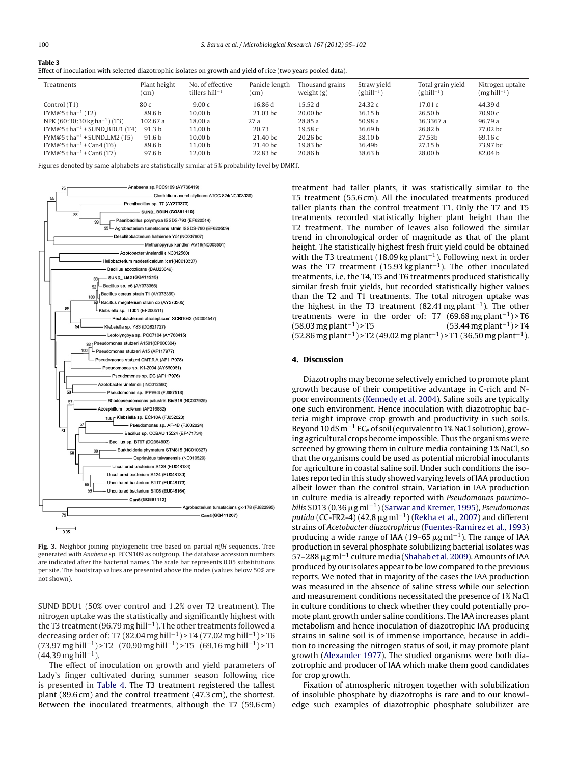<span id="page-5-0"></span>

| $\sim$ |
|--------|
|        |

| Effect of inoculation with selected diazotrophic isolates on growth and yield of rice (two years pooled data). |  |  |  |
|----------------------------------------------------------------------------------------------------------------|--|--|--|
|----------------------------------------------------------------------------------------------------------------|--|--|--|

| Treatments                                              | Plant height<br>'cm) | No. of effective<br>tillers $hill-1$ | Panicle length<br>(cm | Thousand grains<br>weight $(g)$ | Straw yield<br>(ghill <sup>-1</sup> ) | Total grain yield<br>(ghill $^{-1}$ ) | Nitrogen uptake<br>(mg hill <sup>-1</sup> ) |
|---------------------------------------------------------|----------------------|--------------------------------------|-----------------------|---------------------------------|---------------------------------------|---------------------------------------|---------------------------------------------|
| Control (T1)                                            | 80 c                 | 9.00c                                | 16.86 d               | 15.52d                          | 24.32c                                | 17.01c                                | 44.39 d                                     |
| $FYM@5$ t ha <sup>-1</sup> (T2)                         | 89.6 b               | 10.00 <sub>b</sub>                   | $21.03$ bc            | $20.00$ bc                      | 36.15 b                               | 26.50 <sub>b</sub>                    | 70.90c                                      |
| NPK (60:30:30 kg ha <sup>-1</sup> ) (T3)                | 102.67 a             | 18.00 a                              | 27a                   | 28.85 a                         | 50.98 a                               | 36.3367 a                             | 96.79a                                      |
| $FYM@5$ t ha <sup>-1</sup> + SUND_BDU1 (T4)             | 91.3 <sub>b</sub>    | 11.00 b                              | 20.73                 | 19.58 с                         | 36.69 b                               | 26.82 <sub>b</sub>                    | 77.02 bc                                    |
| $FYM@5$ t ha <sup>-1</sup> + SUND <sub>-</sub> LM2 (T5) | 91.6 b               | 10.00 <sub>b</sub>                   | 21.40 bc              | 20.26 bc                        | 38.10 b                               | 27.53b                                | 69.16 c                                     |
| $FYM@5$ t ha <sup>-1</sup> + Can4 (T6)                  | 89.6 b               | 11.00 <sub>b</sub>                   | 21.40 bc              | 19.83 bc                        | 36.49b                                | 27.15 h                               | 73.97 bc                                    |
| $FYM@5$ t ha <sup>-1</sup> + Can6 (T7)                  | 97.6 <sub>b</sub>    | 12.00 b                              | 22.83 bc              | 20.86 b                         | 38.63 b                               | 28.00 b                               | 82.04 b                                     |

Figures denoted by same alphabets are statistically similar at 5% probability level by DMRT.



Fig. 3. Neighbor joining phylogenetic tree based on partial nifH sequences. Tree generated with Anabena sp. PCC9109 as outgroup. The database accession numbers are indicated after the bacterial names. The scale bar represents 0.05 substitutions per site. The bootstrap values are presented above the nodes (values below 50% are not shown).

SUND BDU1 (50% over control and 1.2% over T2 treatment). The nitrogen uptake was the statistically and significantly highest with the T3 treatment (96.79 mg hill<sup>-1</sup>). The other treatments followed a decreasing order of: T7 (82.04 mg hill<sup>-1</sup>) > T4 (77.02 mg hill<sup>-1</sup>) > T6 (73.97 mg hill<sup>-1</sup>) > T2 (70.90 mg hill<sup>-1</sup>) > T5 (69.16 mg hill<sup>-1</sup>) > T1 (44.39 mg hill−<sup>1</sup> ).

The effect of inoculation on growth and yield parameters of Lady's finger cultivated during summer season following rice is presented in [Table](#page-6-0) 4. The T3 treatment registered the tallest plant (89.6 cm) and the control treatment (47.3 cm), the shortest. Between the inoculated treatments, although the T7 (59.6 cm)

treatment had taller plants, it was statistically similar to the T5 treatment (55.6 cm). All the inoculated treatments produced taller plants than the control treatment T1. Only the T7 and T5 treatments recorded statistically higher plant height than the T2 treatment. The number of leaves also followed the similar trend in chronological order of magnitude as that of the plant height. The statistically highest fresh fruit yield could be obtained with the T3 treatment (18.09 kg plant<sup>-1</sup>). Following next in order was the T7 treatment (15.93 kg plant<sup>-1</sup>). The other inoculated treatments, i.e. the T4, T5 and T6 treatments produced statistically similar fresh fruit yields, but recorded statistically higher values than the T2 and T1 treatments. The total nitrogen uptake was the highest in the T3 treatment (82.41 mg plant<sup>-1</sup>). The other treatments were in the order of: T7  $(69.68 \text{ mg plant}^{-1})$ >T6 (58.03 mg plant<sup>-1</sup>) > T5 ) > T5 (53.44 mg plant<sup>-1</sup>) > T4 (52.86 mg plant<sup>-1</sup>) > T2 (49.02 mg plant<sup>-1</sup>) > T1 (36.50 mg plant<sup>-1</sup>).

#### 4. Discussion

Diazotrophs may become selectively enriched to promote plant growth because of their competitive advantage in C-rich and Npoor environments ([Kennedy](#page-7-0) et [al.](#page-7-0) [2004\).](#page-7-0) Saline soils are typically one such environment. Hence inoculation with diazotrophic bacteria might improve crop growth and productivity in such soils. Beyond 10 dS m<sup>-1</sup> EC<sub>e</sub> of soil (equivalent to 1% NaCl solution), growing agricultural crops become impossible. Thus the organisms were screened by growing them in culture media containing 1% NaCl, so that the organisms could be used as potential microbial inoculants for agriculture in coastal saline soil. Under such conditions the isolates reported in this study showed varying levels of IAA production albeit lower than the control strain. Variation in IAA production in culture media is already reported with Pseudomonas paucimo-bilis SD13 (0.36 μg ml<sup>-1</sup>) ([Sarwar](#page-7-0) [and](#page-7-0) [Kremer,](#page-7-0) [1995\),](#page-7-0) Pseudomonas putida (CC-FR2-4) (42.8  $\mu$ g ml<sup>-1</sup>) [\(Rekha](#page-7-0) et [al.,](#page-7-0) [2007\)](#page-7-0) and different strains of Acetobacter diazotrophicus [\(Fuentes-Ramirez](#page-7-0) et [al.,](#page-7-0) [1993\)](#page-7-0) producing a wide range of IAA (19–65  $\mu$ g ml<sup>-1</sup>). The range of IAA production in several phosphate solubilizing bacterial isolates was 57–288 μg ml<sup>-1</sup> culture media ([Shahab](#page-7-0) et [al.](#page-7-0) [2009\).](#page-7-0) Amounts of IAA produced by our isolates appear to be low compared to the previous reports. We noted that in majority of the cases the IAA production was measured in the absence of saline stress while our selection and measurement conditions necessitated the presence of 1% NaCl in culture conditions to check whether they could potentially promote plant growth under saline conditions. The IAA increases plant metabolism and hence inoculation of diazotrophic IAA producing strains in saline soil is of immense importance, because in addition to increasing the nitrogen status of soil, it may promote plant growth [\(Alexander](#page-6-0) [1977\).](#page-6-0) The studied organisms were both diazotrophic and producer of IAA which make them good candidates for crop growth.

Fixation of atmospheric nitrogen together with solubilization of insoluble phosphate by diazotrophs is rare and to our knowledge such examples of diazotrophic phosphate solubilizer are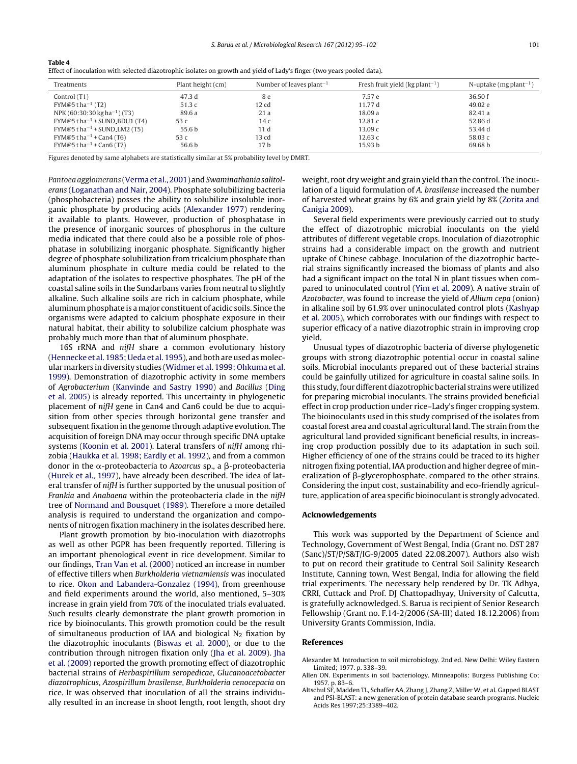| Treatments                                             | Plant height (cm) | Number of leaves plant <sup>-1</sup> | Fresh fruit yield (kg plant <sup>-1</sup> ) | N-uptake (mg plant <sup>-1</sup> ) |
|--------------------------------------------------------|-------------------|--------------------------------------|---------------------------------------------|------------------------------------|
| Control (T1)                                           | 47.3 d            | 8 e                                  | 7.57 e                                      | 36.50 f                            |
| FYM@5 t ha <sup>-1</sup> (T2)                          | 51.3c             | 12 cd                                | 11.77 d                                     | 49.02 e                            |
| NPK (60:30:30 kg ha <sup>-1</sup> ) (T3)               | 89.6 a            | 21a                                  | 18.09 a                                     | 82.41 a                            |
| $FYM@5$ t ha <sup>-1</sup> + SUND_BDU1 (T4)            | 53 c              | 14c                                  | 12.81c                                      | 52.86 d                            |
| $FYM@5$ t ha <sup>-1</sup> + SUND <sub>-LM2</sub> (T5) | 55.6 b            | 11d                                  | 13.09c                                      | 53.44 d                            |
| $FYM@5tha^{-1} + Can4(T6)$                             | 53 c              | 13 cd                                | 12.63 $c$                                   | 58.03 c                            |
| $FYM@5tha^{-1} + Can6(T7)$                             | 56.6 b            | 17 b                                 | 15.93 <sub>b</sub>                          | 69.68 b                            |
|                                                        |                   |                                      |                                             |                                    |

Effect of inoculation with selected diazotrophic isolates on growth and yield of Lady's finger (two years pooled data).

Figures denoted by same alphabets are statistically similar at 5% probability level by DMRT.

<span id="page-6-0"></span>Table 4

Pantoea agglomerans [\(Verma](#page-7-0) et [al.,](#page-7-0) [2001\)](#page-7-0) and Swaminathania salitolerans [\(Loganathan](#page-7-0) [and](#page-7-0) [Nair,](#page-7-0) [2004\).](#page-7-0) Phosphate solubilizing bacteria (phosphobacteria) posses the ability to solubilize insoluble inorganic phosphate by producing acids (Alexander 1977) rendering it available to plants. However, production of phosphatase in the presence of inorganic sources of phosphorus in the culture media indicated that there could also be a possible role of phosphatase in solubilizing inorganic phosphate. Significantly higher degree of phosphate solubilization from tricalcium phosphate than aluminum phosphate in culture media could be related to the adaptation of the isolates to respective phosphates. The pH of the coastal saline soils in the Sundarbans varies from neutral to slightly alkaline. Such alkaline soils are rich in calcium phosphate, while aluminum phosphate is a major constituent of acidic soils. Since the organisms were adapted to calcium phosphate exposure in their natural habitat, their ability to solubilize calcium phosphate was probably much more than that of aluminum phosphate.

16S rRNA and nifH share a common evolutionary history ([Hennecke](#page-7-0) et [al.](#page-7-0) [1985;](#page-7-0) [Ueda](#page-7-0) et al. [1995\),](#page-7-0) and both are used as molecular markers in diversity studies ([Widmer](#page-7-0) et [al.](#page-7-0) [1999;](#page-7-0) [Ohkuma](#page-7-0) et [al.](#page-7-0) [1999\).](#page-7-0) Demonstration of diazotrophic activity in some members of Agrobacterium [\(Kanvinde](#page-7-0) [and](#page-7-0) [Sastry](#page-7-0) [1990\)](#page-7-0) and Bacillus [\(Ding](#page-7-0) et [al.](#page-7-0) [2005\)](#page-7-0) is already reported. This uncertainty in phylogenetic placement of nifH gene in Can4 and Can6 could be due to acquisition from other species through horizontal gene transfer and subsequent fixation in the genome through adaptive evolution. The acquisition of foreign DNA may occur through specific DNA uptake systems [\(Koonin](#page-7-0) et [al.](#page-7-0) [2001\).](#page-7-0) Lateral transfers of nifH among rhizobia [\(Haukka](#page-7-0) et [al.](#page-7-0) [1998;](#page-7-0) [Eardly](#page-7-0) et [al.](#page-7-0) [1992\),](#page-7-0) and from a common donor in the  $\alpha$ -proteobacteria to *Azoarcus s*p., a  $\beta$ -proteobacteria ([Hurek](#page-7-0) et [al.,](#page-7-0) [1997\),](#page-7-0) have already been described. The idea of lateral transfer of nifH is further supported by the unusual position of Frankia and Anabaena within the proteobacteria clade in the nifH tree of [Normand](#page-7-0) [and](#page-7-0) [Bousquet](#page-7-0) [\(1989\).](#page-7-0) Therefore a more detailed analysis is required to understand the organization and components of nitrogen fixation machinery in the isolates described here.

Plant growth promotion by bio-inoculation with diazotrophs as well as other PGPR has been frequently reported. Tillering is an important phenological event in rice development. Similar to our findings, [Tran](#page-7-0) [Van](#page-7-0) et [al.](#page-7-0) [\(2000\)](#page-7-0) noticed an increase in number of effective tillers when Burkholderia vietnamiensis was inoculated to rice. [Okon](#page-7-0) [and](#page-7-0) [Labandera-Gonzalez](#page-7-0) [\(1994\),](#page-7-0) from greenhouse and field experiments around the world, also mentioned, 5–30% increase in grain yield from 70% of the inoculated trials evaluated. Such results clearly demonstrate the plant growth promotion in rice by bioinoculants. This growth promotion could be the result of simultaneous production of IAA and biological  $N_2$  fixation by the diazotrophic inoculants ([Biswas](#page-7-0) et [al.](#page-7-0) [2000\),](#page-7-0) or due to the contribution through nitrogen fixation only [\(Jha](#page-7-0) et [al.](#page-7-0) [2009\).](#page-7-0) [Jha](#page-7-0) et [al.](#page-7-0) [\(2009\)](#page-7-0) reported the growth promoting effect of diazotrophic bacterial strains of Herbaspirillum seropedicae, Glucanoacetobacter diazotrophicus, Azospirillum brasilense, Burkholderia cenocepacia on rice. It was observed that inoculation of all the strains individually resulted in an increase in shoot length, root length, shoot dry weight, root dry weight and grain yield than the control. The inoculation of a liquid formulation of A. brasilense increased the number of harvested wheat grains by 6% and grain yield by 8% ([Zorita](#page-7-0) [and](#page-7-0) [Canigia](#page-7-0) [2009\).](#page-7-0)

Several field experiments were previously carried out to study the effect of diazotrophic microbial inoculants on the yield attributes of different vegetable crops. Inoculation of diazotrophic strains had a considerable impact on the growth and nutrient uptake of Chinese cabbage. Inoculation of the diazotrophic bacterial strains significantly increased the biomass of plants and also had a significant impact on the total N in plant tissues when compared to uninoculated control [\(Yim](#page-7-0) et [al.](#page-7-0) [2009\).](#page-7-0) A native strain of Azotobacter, was found to increase the yield of Allium cepa (onion) in alkaline soil by 61.9% over uninoculated control plots ([Kashyap](#page-7-0) et [al.](#page-7-0) [2005\),](#page-7-0) which corroborates with our findings with respect to superior efficacy of a native diazotrophic strain in improving crop yield.

Unusual types of diazotrophic bacteria of diverse phylogenetic groups with strong diazotrophic potential occur in coastal saline soils. Microbial inoculants prepared out of these bacterial strains could be gainfully utilized for agriculture in coastal saline soils. In this study, four different diazotrophic bacterial strains were utilized for preparing microbial inoculants. The strains provided beneficial effect in crop production under rice–Lady's finger cropping system. The bioinoculants used in this study comprised of the isolates from coastal forest area and coastal agricultural land. The strain from the agricultural land provided significant beneficial results, in increasing crop production possibly due to its adaptation in such soil. Higher efficiency of one of the strains could be traced to its higher nitrogen fixing potential, IAA production and higher degree of mineralization of  $\beta$ -glycerophosphate, compared to the other strains. Considering the input cost, sustainability and eco-friendly agriculture, application of area specific bioinoculant is strongly advocated.

#### Acknowledgements

This work was supported by the Department of Science and Technology, Government of West Bengal, India (Grant no. DST 287 (Sanc)/ST/P/S&T/IG-9/2005 dated 22.08.2007). Authors also wish to put on record their gratitude to Central Soil Salinity Research Institute, Canning town, West Bengal, India for allowing the field trial experiments. The necessary help rendered by Dr. TK Adhya, CRRI, Cuttack and Prof. DJ Chattopadhyay, University of Calcutta, is gratefully acknowledged. S. Barua is recipient of Senior Research Fellowship (Grant no. F.14-2/2006 (SA-III) dated 18.12.2006) from University Grants Commission, India.

#### References

- Alexander M. Introduction to soil microbiology. 2nd ed. New Delhi: Wiley Eastern Limited; 1977. p. 338–39.
- Allen ON. Experiments in soil bacteriology. Minneapolis: Burgess Publishing Co; 1957. p. 83–6.
- Altschul SF, Madden TL, Schaffer AA, Zhang J, Zhang Z, Miller W, et al. Gapped BLAST and PSI-BLAST: a new generation of protein database search programs. Nucleic Acids Res 1997;25:3389–402.